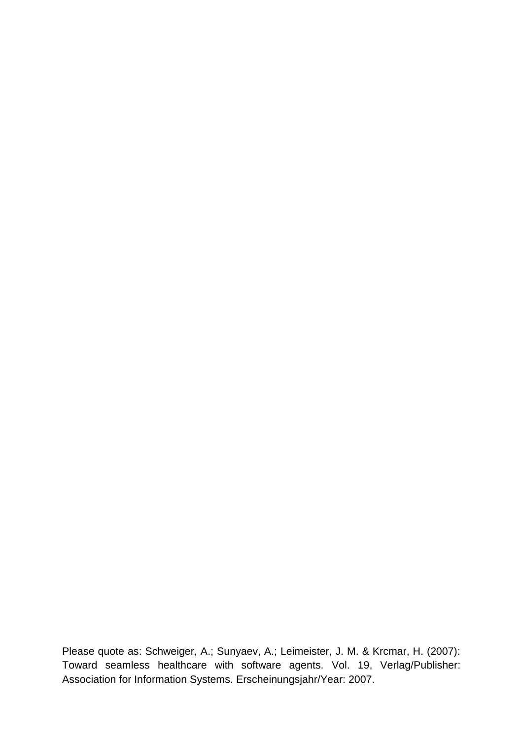Please quote as: Schweiger, A.; Sunyaev, A.; Leimeister, J. M. & Krcmar, H. (2007): Toward seamless healthcare with software agents. Vol. 19, Verlag/Publisher: Association for Information Systems. Erscheinungsjahr/Year: 2007.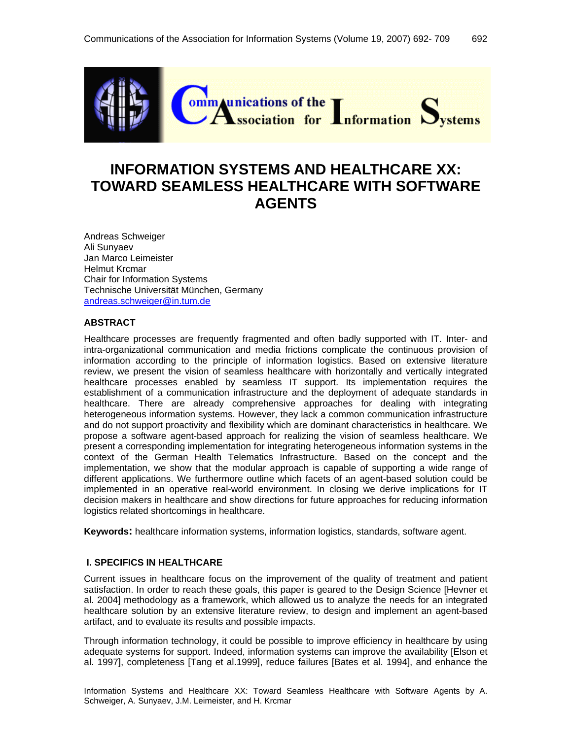

# **INFORMATION SYSTEMS AND HEALTHCARE XX: TOWARD SEAMLESS HEALTHCARE WITH SOFTWARE AGENTS**

Andreas Schweiger Ali Sunyaev Jan Marco Leimeister Helmut Krcmar Chair for Information Systems Technische Universität München, Germany andreas.schweiger@in.tum.de

## **ABSTRACT**

Healthcare processes are frequently fragmented and often badly supported with IT. Inter- and intra-organizational communication and media frictions complicate the continuous provision of information according to the principle of information logistics. Based on extensive literature review, we present the vision of seamless healthcare with horizontally and vertically integrated healthcare processes enabled by seamless IT support. Its implementation requires the establishment of a communication infrastructure and the deployment of adequate standards in healthcare. There are already comprehensive approaches for dealing with integrating heterogeneous information systems. However, they lack a common communication infrastructure and do not support proactivity and flexibility which are dominant characteristics in healthcare. We propose a software agent-based approach for realizing the vision of seamless healthcare. We present a corresponding implementation for integrating heterogeneous information systems in the context of the German Health Telematics Infrastructure. Based on the concept and the implementation, we show that the modular approach is capable of supporting a wide range of different applications. We furthermore outline which facets of an agent-based solution could be implemented in an operative real-world environment. In closing we derive implications for IT decision makers in healthcare and show directions for future approaches for reducing information logistics related shortcomings in healthcare.

**Keywords:** healthcare information systems, information logistics, standards, software agent.

#### **I. SPECIFICS IN HEALTHCARE**

Current issues in healthcare focus on the improvement of the quality of treatment and patient satisfaction. In order to reach these goals, this paper is geared to the Design Science [Hevner et al. 2004] methodology as a framework, which allowed us to analyze the needs for an integrated healthcare solution by an extensive literature review, to design and implement an agent-based artifact, and to evaluate its results and possible impacts.

Through information technology, it could be possible to improve efficiency in healthcare by using adequate systems for support. Indeed, information systems can improve the availability [Elson et al. 1997], completeness [Tang et al.1999], reduce failures [Bates et al. 1994], and enhance the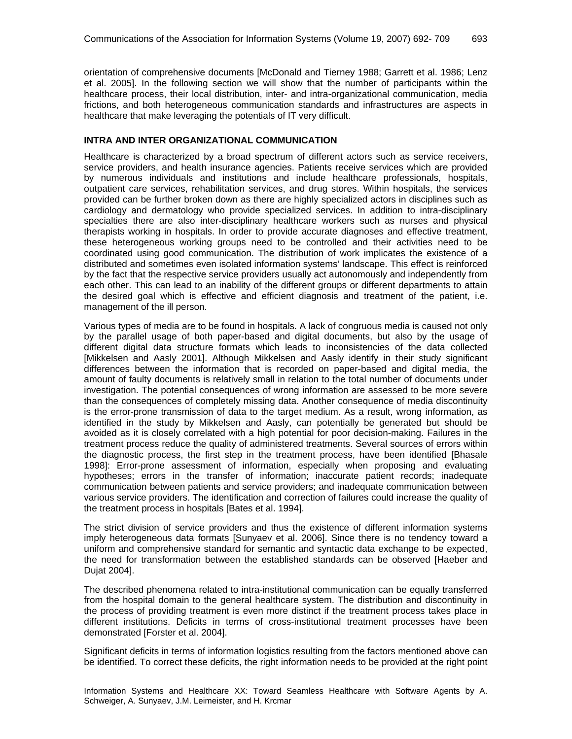orientation of comprehensive documents [McDonald and Tierney 1988; Garrett et al. 1986; Lenz et al. 2005]. In the following section we will show that the number of participants within the healthcare process, their local distribution, inter- and intra-organizational communication, media frictions, and both heterogeneous communication standards and infrastructures are aspects in healthcare that make leveraging the potentials of IT very difficult.

### **INTRA AND INTER ORGANIZATIONAL COMMUNICATION**

Healthcare is characterized by a broad spectrum of different actors such as service receivers, service providers, and health insurance agencies. Patients receive services which are provided by numerous individuals and institutions and include healthcare professionals, hospitals, outpatient care services, rehabilitation services, and drug stores. Within hospitals, the services provided can be further broken down as there are highly specialized actors in disciplines such as cardiology and dermatology who provide specialized services. In addition to intra-disciplinary specialties there are also inter-disciplinary healthcare workers such as nurses and physical therapists working in hospitals. In order to provide accurate diagnoses and effective treatment, these heterogeneous working groups need to be controlled and their activities need to be coordinated using good communication. The distribution of work implicates the existence of a distributed and sometimes even isolated information systems' landscape. This effect is reinforced by the fact that the respective service providers usually act autonomously and independently from each other. This can lead to an inability of the different groups or different departments to attain the desired goal which is effective and efficient diagnosis and treatment of the patient, i.e. management of the ill person.

Various types of media are to be found in hospitals. A lack of congruous media is caused not only by the parallel usage of both paper-based and digital documents, but also by the usage of different digital data structure formats which leads to inconsistencies of the data collected [Mikkelsen and Aasly 2001]. Although Mikkelsen and Aasly identify in their study significant differences between the information that is recorded on paper-based and digital media, the amount of faulty documents is relatively small in relation to the total number of documents under investigation. The potential consequences of wrong information are assessed to be more severe than the consequences of completely missing data. Another consequence of media discontinuity is the error-prone transmission of data to the target medium. As a result, wrong information, as identified in the study by Mikkelsen and Aasly, can potentially be generated but should be avoided as it is closely correlated with a high potential for poor decision-making. Failures in the treatment process reduce the quality of administered treatments. Several sources of errors within the diagnostic process, the first step in the treatment process, have been identified [Bhasale 1998]: Error-prone assessment of information, especially when proposing and evaluating hypotheses; errors in the transfer of information; inaccurate patient records; inadequate communication between patients and service providers; and inadequate communication between various service providers. The identification and correction of failures could increase the quality of the treatment process in hospitals [Bates et al. 1994].

The strict division of service providers and thus the existence of different information systems imply heterogeneous data formats [Sunyaev et al. 2006]. Since there is no tendency toward a uniform and comprehensive standard for semantic and syntactic data exchange to be expected, the need for transformation between the established standards can be observed [Haeber and Dujat 2004].

The described phenomena related to intra-institutional communication can be equally transferred from the hospital domain to the general healthcare system. The distribution and discontinuity in the process of providing treatment is even more distinct if the treatment process takes place in different institutions. Deficits in terms of cross-institutional treatment processes have been demonstrated [Forster et al. 2004].

Significant deficits in terms of information logistics resulting from the factors mentioned above can be identified. To correct these deficits, the right information needs to be provided at the right point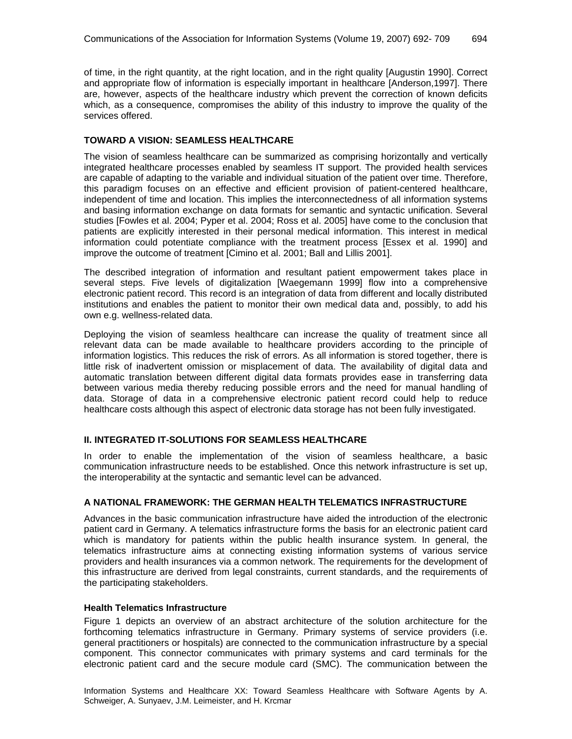of time, in the right quantity, at the right location, and in the right quality [Augustin 1990]. Correct and appropriate flow of information is especially important in healthcare [Anderson,1997]. There are, however, aspects of the healthcare industry which prevent the correction of known deficits which, as a consequence, compromises the ability of this industry to improve the quality of the services offered.

### **TOWARD A VISION: SEAMLESS HEALTHCARE**

The vision of seamless healthcare can be summarized as comprising horizontally and vertically integrated healthcare processes enabled by seamless IT support. The provided health services are capable of adapting to the variable and individual situation of the patient over time. Therefore, this paradigm focuses on an effective and efficient provision of patient-centered healthcare, independent of time and location. This implies the interconnectedness of all information systems and basing information exchange on data formats for semantic and syntactic unification. Several studies [Fowles et al. 2004; Pyper et al. 2004; Ross et al. 2005] have come to the conclusion that patients are explicitly interested in their personal medical information. This interest in medical information could potentiate compliance with the treatment process [Essex et al. 1990] and improve the outcome of treatment [Cimino et al. 2001; Ball and Lillis 2001].

The described integration of information and resultant patient empowerment takes place in several steps. Five levels of digitalization [Waegemann 1999] flow into a comprehensive electronic patient record. This record is an integration of data from different and locally distributed institutions and enables the patient to monitor their own medical data and, possibly, to add his own e.g. wellness-related data.

Deploying the vision of seamless healthcare can increase the quality of treatment since all relevant data can be made available to healthcare providers according to the principle of information logistics. This reduces the risk of errors. As all information is stored together, there is little risk of inadvertent omission or misplacement of data. The availability of digital data and automatic translation between different digital data formats provides ease in transferring data between various media thereby reducing possible errors and the need for manual handling of data. Storage of data in a comprehensive electronic patient record could help to reduce healthcare costs although this aspect of electronic data storage has not been fully investigated.

#### **II. INTEGRATED IT-SOLUTIONS FOR SEAMLESS HEALTHCARE**

In order to enable the implementation of the vision of seamless healthcare, a basic communication infrastructure needs to be established. Once this network infrastructure is set up, the interoperability at the syntactic and semantic level can be advanced.

#### **A NATIONAL FRAMEWORK: THE GERMAN HEALTH TELEMATICS INFRASTRUCTURE**

Advances in the basic communication infrastructure have aided the introduction of the electronic patient card in Germany. A telematics infrastructure forms the basis for an electronic patient card which is mandatory for patients within the public health insurance system. In general, the telematics infrastructure aims at connecting existing information systems of various service providers and health insurances via a common network. The requirements for the development of this infrastructure are derived from legal constraints, current standards, and the requirements of the participating stakeholders.

#### **Health Telematics Infrastructure**

Figure 1 depicts an overview of an abstract architecture of the solution architecture for the forthcoming telematics infrastructure in Germany. Primary systems of service providers (i.e. general practitioners or hospitals) are connected to the communication infrastructure by a special component. This connector communicates with primary systems and card terminals for the electronic patient card and the secure module card (SMC). The communication between the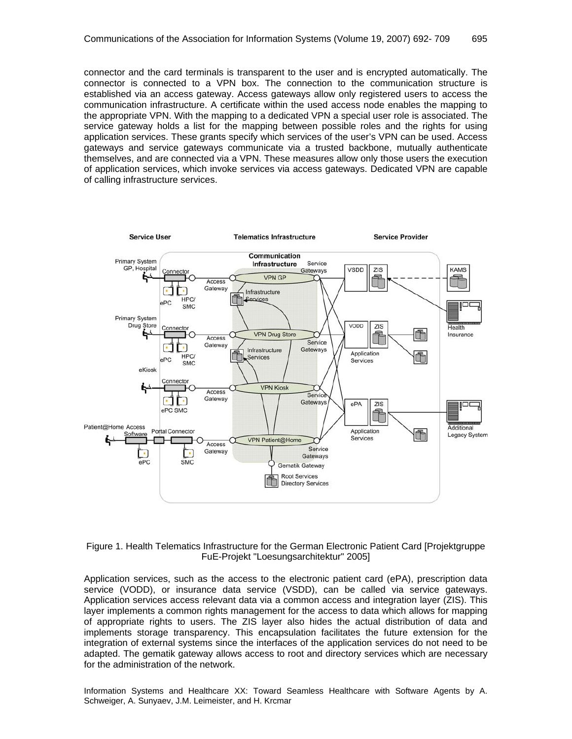connector and the card terminals is transparent to the user and is encrypted automatically. The connector is connected to a VPN box. The connection to the communication structure is established via an access gateway. Access gateways allow only registered users to access the communication infrastructure. A certificate within the used access node enables the mapping to the appropriate VPN. With the mapping to a dedicated VPN a special user role is associated. The service gateway holds a list for the mapping between possible roles and the rights for using application services. These grants specify which services of the user's VPN can be used. Access gateways and service gateways communicate via a trusted backbone, mutually authenticate themselves, and are connected via a VPN. These measures allow only those users the execution of application services, which invoke services via access gateways. Dedicated VPN are capable of calling infrastructure services.



#### Figure 1. Health Telematics Infrastructure for the German Electronic Patient Card [Projektgruppe FuE-Projekt "Loesungsarchitektur" 2005]

Application services, such as the access to the electronic patient card (ePA), prescription data service (VODD), or insurance data service (VSDD), can be called via service gateways. Application services access relevant data via a common access and integration layer (ZIS). This layer implements a common rights management for the access to data which allows for mapping of appropriate rights to users. The ZIS layer also hides the actual distribution of data and implements storage transparency. This encapsulation facilitates the future extension for the integration of external systems since the interfaces of the application services do not need to be adapted. The gematik gateway allows access to root and directory services which are necessary for the administration of the network.

Information Systems and Healthcare XX: Toward Seamless Healthcare with Software Agents by A. Schweiger, A. Sunyaev, J.M. Leimeister, and H. Krcmar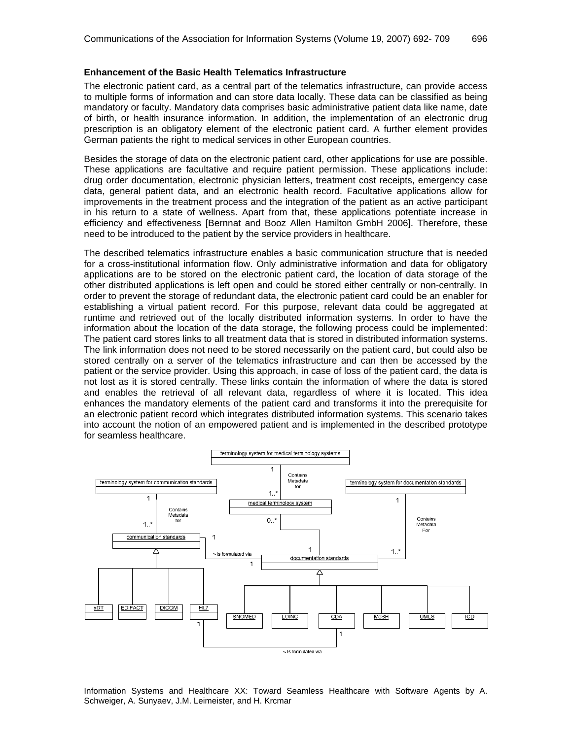#### **Enhancement of the Basic Health Telematics Infrastructure**

The electronic patient card, as a central part of the telematics infrastructure, can provide access to multiple forms of information and can store data locally. These data can be classified as being mandatory or faculty. Mandatory data comprises basic administrative patient data like name, date of birth, or health insurance information. In addition, the implementation of an electronic drug prescription is an obligatory element of the electronic patient card. A further element provides German patients the right to medical services in other European countries.

Besides the storage of data on the electronic patient card, other applications for use are possible. These applications are facultative and require patient permission. These applications include: drug order documentation, electronic physician letters, treatment cost receipts, emergency case data, general patient data, and an electronic health record. Facultative applications allow for improvements in the treatment process and the integration of the patient as an active participant in his return to a state of wellness. Apart from that, these applications potentiate increase in efficiency and effectiveness [Bernnat and Booz Allen Hamilton GmbH 2006]. Therefore, these need to be introduced to the patient by the service providers in healthcare.

The described telematics infrastructure enables a basic communication structure that is needed for a cross-institutional information flow. Only administrative information and data for obligatory applications are to be stored on the electronic patient card, the location of data storage of the other distributed applications is left open and could be stored either centrally or non-centrally. In order to prevent the storage of redundant data, the electronic patient card could be an enabler for establishing a virtual patient record. For this purpose, relevant data could be aggregated at runtime and retrieved out of the locally distributed information systems. In order to have the information about the location of the data storage, the following process could be implemented: The patient card stores links to all treatment data that is stored in distributed information systems. The link information does not need to be stored necessarily on the patient card, but could also be stored centrally on a server of the telematics infrastructure and can then be accessed by the patient or the service provider. Using this approach, in case of loss of the patient card, the data is not lost as it is stored centrally. These links contain the information of where the data is stored and enables the retrieval of all relevant data, regardless of where it is located. This idea enhances the mandatory elements of the patient card and transforms it into the prerequisite for an electronic patient record which integrates distributed information systems. This scenario takes into account the notion of an empowered patient and is implemented in the described prototype for seamless healthcare.



Information Systems and Healthcare XX: Toward Seamless Healthcare with Software Agents by A. Schweiger, A. Sunyaev, J.M. Leimeister, and H. Krcmar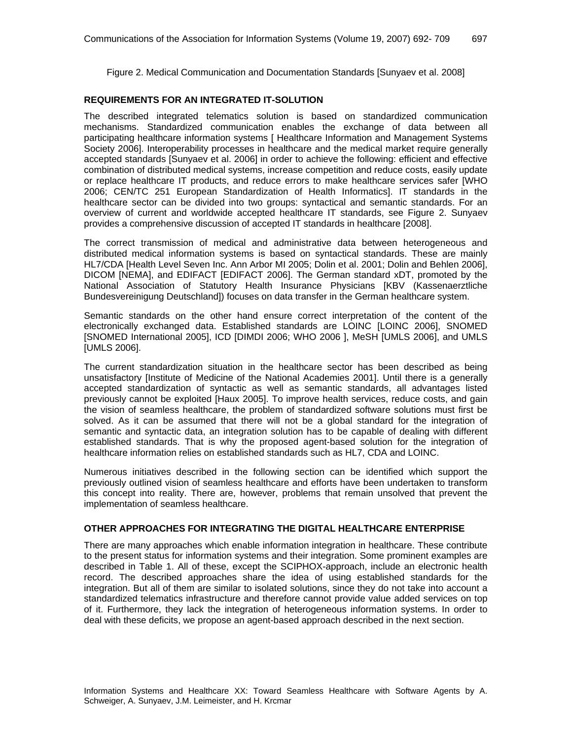Figure 2. Medical Communication and Documentation Standards [Sunyaev et al. 2008]

## **REQUIREMENTS FOR AN INTEGRATED IT-SOLUTION**

The described integrated telematics solution is based on standardized communication mechanisms. Standardized communication enables the exchange of data between all participating healthcare information systems [ Healthcare Information and Management Systems Society 2006]. Interoperability processes in healthcare and the medical market require generally accepted standards [Sunyaev et al. 2006] in order to achieve the following: efficient and effective combination of distributed medical systems, increase competition and reduce costs, easily update or replace healthcare IT products, and reduce errors to make healthcare services safer [WHO 2006; CEN/TC 251 European Standardization of Health Informatics]. IT standards in the healthcare sector can be divided into two groups: syntactical and semantic standards. For an overview of current and worldwide accepted healthcare IT standards, see Figure 2. Sunyaev provides a comprehensive discussion of accepted IT standards in healthcare [2008].

The correct transmission of medical and administrative data between heterogeneous and distributed medical information systems is based on syntactical standards. These are mainly HL7/CDA [Health Level Seven Inc. Ann Arbor MI 2005; Dolin et al. 2001; Dolin and Behlen 2006], DICOM [NEMA], and EDIFACT [EDIFACT 2006]. The German standard xDT, promoted by the National Association of Statutory Health Insurance Physicians [KBV (Kassenaerztliche Bundesvereinigung Deutschland]) focuses on data transfer in the German healthcare system.

Semantic standards on the other hand ensure correct interpretation of the content of the electronically exchanged data. Established standards are LOINC [LOINC 2006], SNOMED [SNOMED International 2005], ICD [DIMDI 2006; WHO 2006 ], MeSH [UMLS 2006], and UMLS [UMLS 2006].

The current standardization situation in the healthcare sector has been described as being unsatisfactory [Institute of Medicine of the National Academies 2001]. Until there is a generally accepted standardization of syntactic as well as semantic standards, all advantages listed previously cannot be exploited [Haux 2005]. To improve health services, reduce costs, and gain the vision of seamless healthcare, the problem of standardized software solutions must first be solved. As it can be assumed that there will not be a global standard for the integration of semantic and syntactic data, an integration solution has to be capable of dealing with different established standards. That is why the proposed agent-based solution for the integration of healthcare information relies on established standards such as HL7, CDA and LOINC.

Numerous initiatives described in the following section can be identified which support the previously outlined vision of seamless healthcare and efforts have been undertaken to transform this concept into reality. There are, however, problems that remain unsolved that prevent the implementation of seamless healthcare.

## **OTHER APPROACHES FOR INTEGRATING THE DIGITAL HEALTHCARE ENTERPRISE**

There are many approaches which enable information integration in healthcare. These contribute to the present status for information systems and their integration. Some prominent examples are described in Table 1. All of these, except the SCIPHOX-approach, include an electronic health record. The described approaches share the idea of using established standards for the integration. But all of them are similar to isolated solutions, since they do not take into account a standardized telematics infrastructure and therefore cannot provide value added services on top of it. Furthermore, they lack the integration of heterogeneous information systems. In order to deal with these deficits, we propose an agent-based approach described in the next section.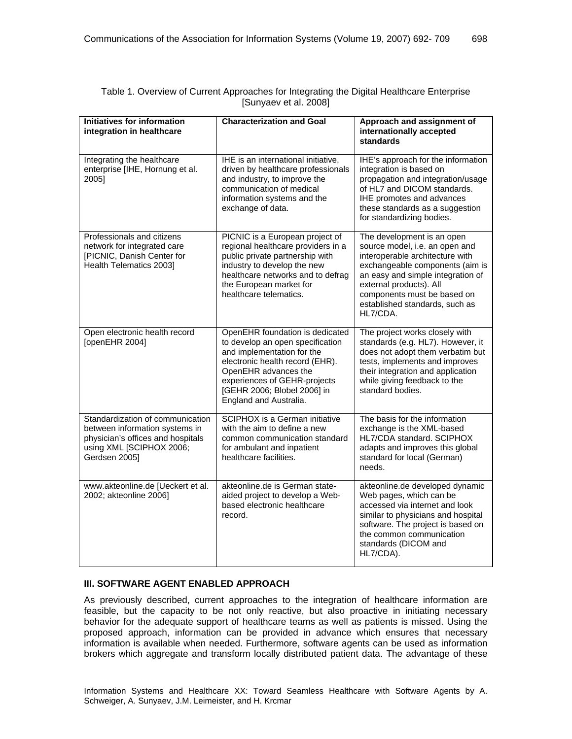| <b>Initiatives for information</b><br>integration in healthcare                                                                                      | <b>Characterization and Goal</b>                                                                                                                                                                                                                      | Approach and assignment of<br>internationally accepted<br>standards                                                                                                                                                                                                             |
|------------------------------------------------------------------------------------------------------------------------------------------------------|-------------------------------------------------------------------------------------------------------------------------------------------------------------------------------------------------------------------------------------------------------|---------------------------------------------------------------------------------------------------------------------------------------------------------------------------------------------------------------------------------------------------------------------------------|
| Integrating the healthcare<br>enterprise [IHE, Hornung et al.<br>2005]                                                                               | IHE is an international initiative,<br>driven by healthcare professionals<br>and industry, to improve the<br>communication of medical<br>information systems and the<br>exchange of data.                                                             | IHE's approach for the information<br>integration is based on<br>propagation and integration/usage<br>of HL7 and DICOM standards.<br>IHE promotes and advances<br>these standards as a suggestion<br>for standardizing bodies.                                                  |
| Professionals and citizens<br>network for integrated care<br>[PICNIC, Danish Center for<br>Health Telematics 2003]                                   | PICNIC is a European project of<br>regional healthcare providers in a<br>public private partnership with<br>industry to develop the new<br>healthcare networks and to defrag<br>the European market for<br>healthcare telematics.                     | The development is an open<br>source model, i.e. an open and<br>interoperable architecture with<br>exchangeable components (aim is<br>an easy and simple integration of<br>external products). All<br>components must be based on<br>established standards, such as<br>HL7/CDA. |
| Open electronic health record<br>[openEHR 2004]                                                                                                      | OpenEHR foundation is dedicated<br>to develop an open specification<br>and implementation for the<br>electronic health record (EHR).<br>OpenEHR advances the<br>experiences of GEHR-projects<br>[GEHR 2006; Blobel 2006] in<br>England and Australia. | The project works closely with<br>standards (e.g. HL7). However, it<br>does not adopt them verbatim but<br>tests, implements and improves<br>their integration and application<br>while giving feedback to the<br>standard bodies.                                              |
| Standardization of communication<br>between information systems in<br>physician's offices and hospitals<br>using XML [SCIPHOX 2006;<br>Gerdsen 2005] | SCIPHOX is a German initiative<br>with the aim to define a new<br>common communication standard<br>for ambulant and inpatient<br>healthcare facilities.                                                                                               | The basis for the information<br>exchange is the XML-based<br>HL7/CDA standard. SCIPHOX<br>adapts and improves this global<br>standard for local (German)<br>needs.                                                                                                             |
| www.akteonline.de [Ueckert et al.<br>2002; akteonline 2006]                                                                                          | akteonline.de is German state-<br>aided project to develop a Web-<br>based electronic healthcare<br>record.                                                                                                                                           | akteonline.de developed dynamic<br>Web pages, which can be<br>accessed via internet and look<br>similar to physicians and hospital<br>software. The project is based on<br>the common communication<br>standards (DICOM and<br>HL7/CDA).                                        |

## Table 1. Overview of Current Approaches for Integrating the Digital Healthcare Enterprise [Sunyaev et al. 2008]

#### **III. SOFTWARE AGENT ENABLED APPROACH**

As previously described, current approaches to the integration of healthcare information are feasible, but the capacity to be not only reactive, but also proactive in initiating necessary behavior for the adequate support of healthcare teams as well as patients is missed. Using the proposed approach, information can be provided in advance which ensures that necessary information is available when needed. Furthermore, software agents can be used as information brokers which aggregate and transform locally distributed patient data. The advantage of these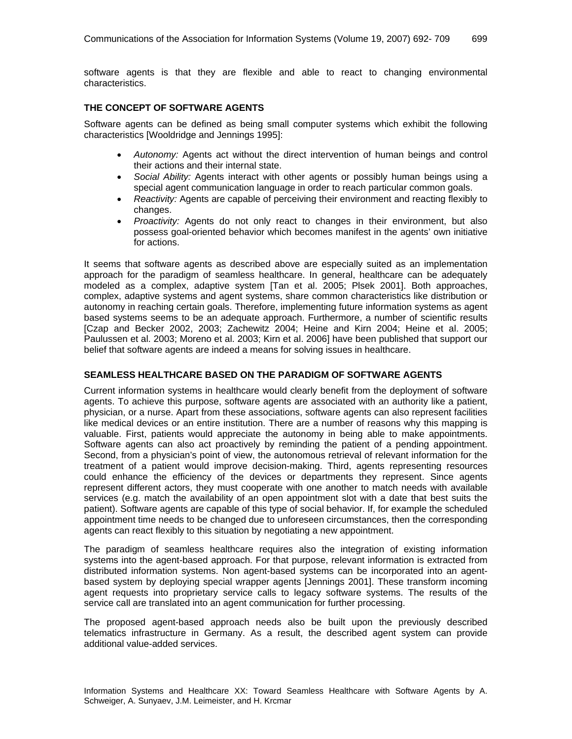software agents is that they are flexible and able to react to changing environmental characteristics.

## **THE CONCEPT OF SOFTWARE AGENTS**

Software agents can be defined as being small computer systems which exhibit the following characteristics [Wooldridge and Jennings 1995]:

- *Autonomy:* Agents act without the direct intervention of human beings and control their actions and their internal state.
- *Social Ability:* Agents interact with other agents or possibly human beings using a special agent communication language in order to reach particular common goals.
- *Reactivity:* Agents are capable of perceiving their environment and reacting flexibly to changes.
- *Proactivity:* Agents do not only react to changes in their environment, but also possess goal-oriented behavior which becomes manifest in the agents' own initiative for actions.

It seems that software agents as described above are especially suited as an implementation approach for the paradigm of seamless healthcare. In general, healthcare can be adequately modeled as a complex, adaptive system [Tan et al. 2005; Plsek 2001]. Both approaches, complex, adaptive systems and agent systems, share common characteristics like distribution or autonomy in reaching certain goals. Therefore, implementing future information systems as agent based systems seems to be an adequate approach. Furthermore, a number of scientific results [Czap and Becker 2002, 2003; Zachewitz 2004; Heine and Kirn 2004; Heine et al. 2005; Paulussen et al. 2003; Moreno et al. 2003; Kirn et al. 2006] have been published that support our belief that software agents are indeed a means for solving issues in healthcare.

#### **SEAMLESS HEALTHCARE BASED ON THE PARADIGM OF SOFTWARE AGENTS**

Current information systems in healthcare would clearly benefit from the deployment of software agents. To achieve this purpose, software agents are associated with an authority like a patient, physician, or a nurse. Apart from these associations, software agents can also represent facilities like medical devices or an entire institution. There are a number of reasons why this mapping is valuable. First, patients would appreciate the autonomy in being able to make appointments. Software agents can also act proactively by reminding the patient of a pending appointment. Second, from a physician's point of view, the autonomous retrieval of relevant information for the treatment of a patient would improve decision-making. Third, agents representing resources could enhance the efficiency of the devices or departments they represent. Since agents represent different actors, they must cooperate with one another to match needs with available services (e.g. match the availability of an open appointment slot with a date that best suits the patient). Software agents are capable of this type of social behavior. If, for example the scheduled appointment time needs to be changed due to unforeseen circumstances, then the corresponding agents can react flexibly to this situation by negotiating a new appointment.

The paradigm of seamless healthcare requires also the integration of existing information systems into the agent-based approach. For that purpose, relevant information is extracted from distributed information systems. Non agent-based systems can be incorporated into an agentbased system by deploying special wrapper agents [Jennings 2001]. These transform incoming agent requests into proprietary service calls to legacy software systems. The results of the service call are translated into an agent communication for further processing.

The proposed agent-based approach needs also be built upon the previously described telematics infrastructure in Germany. As a result, the described agent system can provide additional value-added services.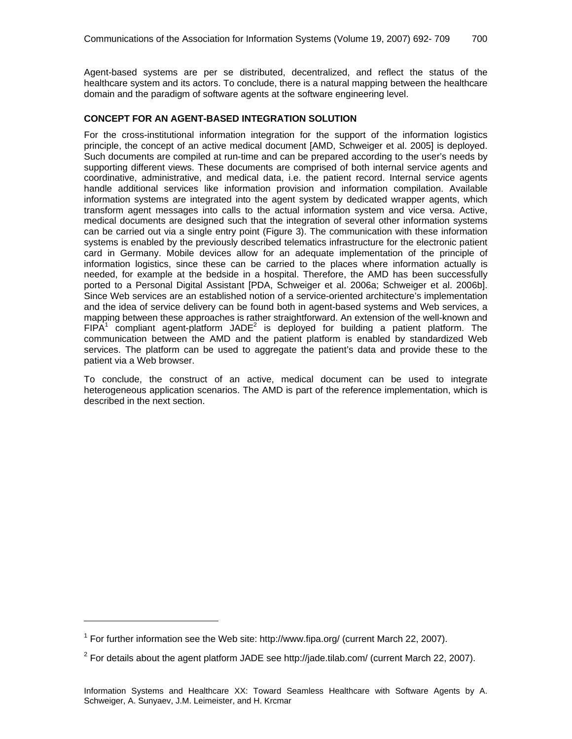Agent-based systems are per se distributed, decentralized, and reflect the status of the healthcare system and its actors. To conclude, there is a natural mapping between the healthcare domain and the paradigm of software agents at the software engineering level.

## **CONCEPT FOR AN AGENT-BASED INTEGRATION SOLUTION**

For the cross-institutional information integration for the support of the information logistics principle, the concept of an active medical document [AMD, Schweiger et al. 2005] is deployed. Such documents are compiled at run-time and can be prepared according to the user's needs by supporting different views. These documents are comprised of both internal service agents and coordinative, administrative, and medical data, i.e. the patient record. Internal service agents handle additional services like information provision and information compilation. Available information systems are integrated into the agent system by dedicated wrapper agents, which transform agent messages into calls to the actual information system and vice versa. Active, medical documents are designed such that the integration of several other information systems can be carried out via a single entry point (Figure 3). The communication with these information systems is enabled by the previously described telematics infrastructure for the electronic patient card in Germany. Mobile devices allow for an adequate implementation of the principle of information logistics, since these can be carried to the places where information actually is needed, for example at the bedside in a hospital. Therefore, the AMD has been successfully ported to a Personal Digital Assistant [PDA, Schweiger et al. 2006a; Schweiger et al. 2006b]. Since Web services are an established notion of a service-oriented architecture's implementation and the idea of service delivery can be found both in agent-based systems and Web services, a mapping between these approaches is rather straightforward. An extension of the well-known and FIPA<sup>1</sup> compliant agent-platform JADE<sup>2</sup> is deployed for building a patient platform. The communication between the AMD and the patient platform is enabled by standardized Web services. The platform can be used to aggregate the patient's data and provide these to the patient via a Web browser.

To conclude, the construct of an active, medical document can be used to integrate heterogeneous application scenarios. The AMD is part of the reference implementation, which is described in the next section.

1

<sup>&</sup>lt;sup>1</sup> For further information see the Web site: http://www.fipa.org/ (current March 22, 2007).

<sup>&</sup>lt;sup>2</sup> For details about the agent platform JADE see http://jade.tilab.com/ (current March 22, 2007).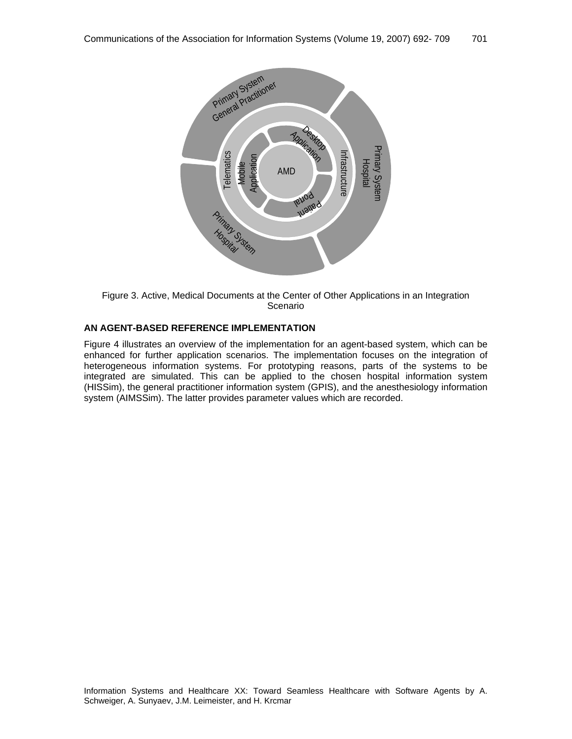

Figure 3. Active, Medical Documents at the Center of Other Applications in an Integration Scenario

# **AN AGENT-BASED REFERENCE IMPLEMENTATION**

Figure 4 illustrates an overview of the implementation for an agent-based system, which can be enhanced for further application scenarios. The implementation focuses on the integration of heterogeneous information systems. For prototyping reasons, parts of the systems to be integrated are simulated. This can be applied to the chosen hospital information system (HISSim), the general practitioner information system (GPIS), and the anesthesiology information system (AIMSSim). The latter provides parameter values which are recorded.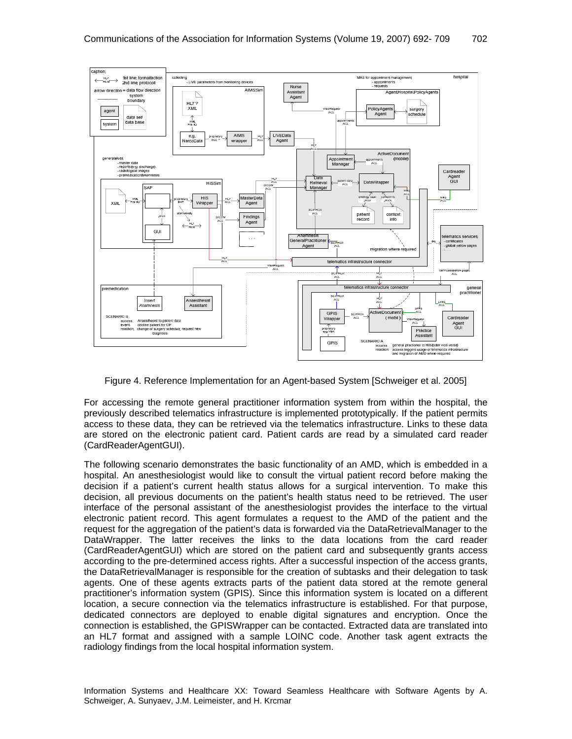

Figure 4. Reference Implementation for an Agent-based System [Schweiger et al. 2005]

For accessing the remote general practitioner information system from within the hospital, the previously described telematics infrastructure is implemented prototypically. If the patient permits access to these data, they can be retrieved via the telematics infrastructure. Links to these data are stored on the electronic patient card. Patient cards are read by a simulated card reader (CardReaderAgentGUI).

The following scenario demonstrates the basic functionality of an AMD, which is embedded in a hospital. An anesthesiologist would like to consult the virtual patient record before making the decision if a patient's current health status allows for a surgical intervention. To make this decision, all previous documents on the patient's health status need to be retrieved. The user interface of the personal assistant of the anesthesiologist provides the interface to the virtual electronic patient record. This agent formulates a request to the AMD of the patient and the request for the aggregation of the patient's data is forwarded via the DataRetrievalManager to the DataWrapper. The latter receives the links to the data locations from the card reader (CardReaderAgentGUI) which are stored on the patient card and subsequently grants access according to the pre-determined access rights. After a successful inspection of the access grants, the DataRetrievalManager is responsible for the creation of subtasks and their delegation to task agents. One of these agents extracts parts of the patient data stored at the remote general practitioner's information system (GPIS). Since this information system is located on a different location, a secure connection via the telematics infrastructure is established. For that purpose, dedicated connectors are deployed to enable digital signatures and encryption. Once the connection is established, the GPISWrapper can be contacted. Extracted data are translated into an HL7 format and assigned with a sample LOINC code. Another task agent extracts the radiology findings from the local hospital information system.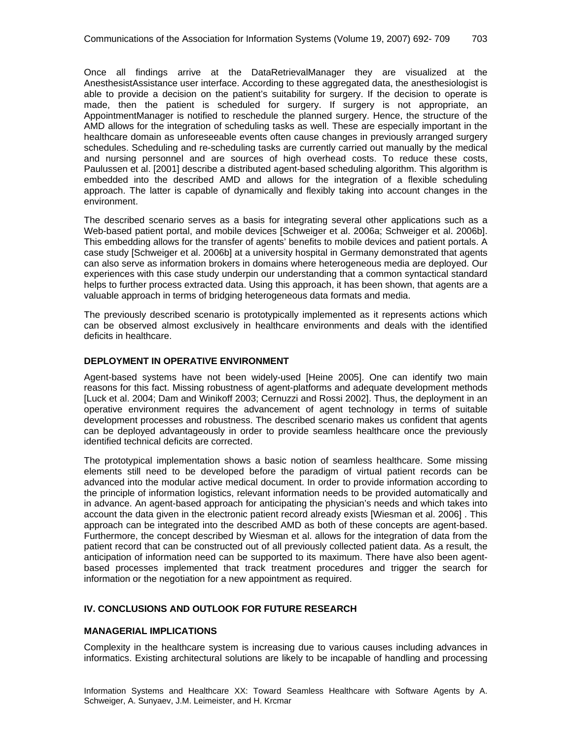Once all findings arrive at the DataRetrievalManager they are visualized at the AnesthesistAssistance user interface. According to these aggregated data, the anesthesiologist is able to provide a decision on the patient's suitability for surgery. If the decision to operate is made, then the patient is scheduled for surgery. If surgery is not appropriate, an AppointmentManager is notified to reschedule the planned surgery. Hence, the structure of the AMD allows for the integration of scheduling tasks as well. These are especially important in the healthcare domain as unforeseeable events often cause changes in previously arranged surgery schedules. Scheduling and re-scheduling tasks are currently carried out manually by the medical and nursing personnel and are sources of high overhead costs. To reduce these costs, Paulussen et al. [2001] describe a distributed agent-based scheduling algorithm. This algorithm is embedded into the described AMD and allows for the integration of a flexible scheduling approach. The latter is capable of dynamically and flexibly taking into account changes in the environment.

The described scenario serves as a basis for integrating several other applications such as a Web-based patient portal, and mobile devices [Schweiger et al. 2006a; Schweiger et al. 2006b]. This embedding allows for the transfer of agents' benefits to mobile devices and patient portals. A case study [Schweiger et al. 2006b] at a university hospital in Germany demonstrated that agents can also serve as information brokers in domains where heterogeneous media are deployed. Our experiences with this case study underpin our understanding that a common syntactical standard helps to further process extracted data. Using this approach, it has been shown, that agents are a valuable approach in terms of bridging heterogeneous data formats and media.

The previously described scenario is prototypically implemented as it represents actions which can be observed almost exclusively in healthcare environments and deals with the identified deficits in healthcare.

## **DEPLOYMENT IN OPERATIVE ENVIRONMENT**

Agent-based systems have not been widely-used [Heine 2005]. One can identify two main reasons for this fact. Missing robustness of agent-platforms and adequate development methods [Luck et al. 2004; Dam and Winikoff 2003; Cernuzzi and Rossi 2002]. Thus, the deployment in an operative environment requires the advancement of agent technology in terms of suitable development processes and robustness. The described scenario makes us confident that agents can be deployed advantageously in order to provide seamless healthcare once the previously identified technical deficits are corrected.

The prototypical implementation shows a basic notion of seamless healthcare. Some missing elements still need to be developed before the paradigm of virtual patient records can be advanced into the modular active medical document. In order to provide information according to the principle of information logistics, relevant information needs to be provided automatically and in advance. An agent-based approach for anticipating the physician's needs and which takes into account the data given in the electronic patient record already exists [Wiesman et al. 2006] . This approach can be integrated into the described AMD as both of these concepts are agent-based. Furthermore, the concept described by Wiesman et al. allows for the integration of data from the patient record that can be constructed out of all previously collected patient data. As a result, the anticipation of information need can be supported to its maximum. There have also been agentbased processes implemented that track treatment procedures and trigger the search for information or the negotiation for a new appointment as required.

# **IV. CONCLUSIONS AND OUTLOOK FOR FUTURE RESEARCH**

#### **MANAGERIAL IMPLICATIONS**

Complexity in the healthcare system is increasing due to various causes including advances in informatics. Existing architectural solutions are likely to be incapable of handling and processing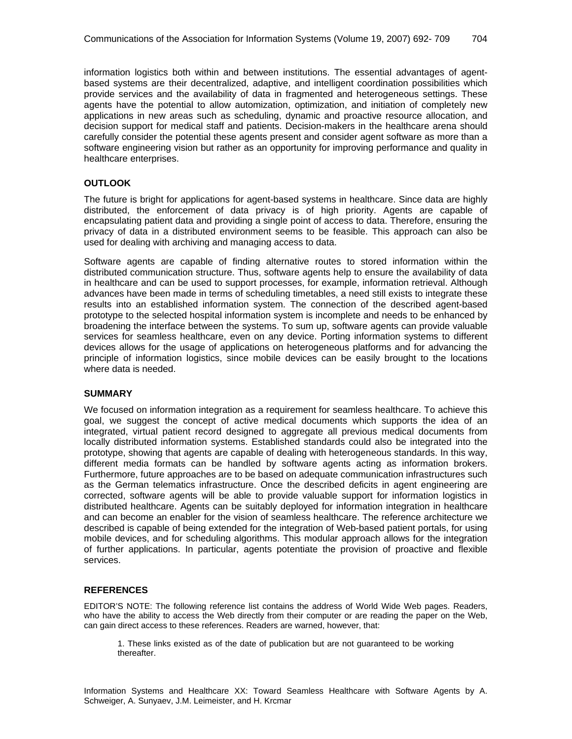information logistics both within and between institutions. The essential advantages of agentbased systems are their decentralized, adaptive, and intelligent coordination possibilities which provide services and the availability of data in fragmented and heterogeneous settings. These agents have the potential to allow automization, optimization, and initiation of completely new applications in new areas such as scheduling, dynamic and proactive resource allocation, and decision support for medical staff and patients. Decision-makers in the healthcare arena should carefully consider the potential these agents present and consider agent software as more than a software engineering vision but rather as an opportunity for improving performance and quality in healthcare enterprises.

## **OUTLOOK**

The future is bright for applications for agent-based systems in healthcare. Since data are highly distributed, the enforcement of data privacy is of high priority. Agents are capable of encapsulating patient data and providing a single point of access to data. Therefore, ensuring the privacy of data in a distributed environment seems to be feasible. This approach can also be used for dealing with archiving and managing access to data.

Software agents are capable of finding alternative routes to stored information within the distributed communication structure. Thus, software agents help to ensure the availability of data in healthcare and can be used to support processes, for example, information retrieval. Although advances have been made in terms of scheduling timetables, a need still exists to integrate these results into an established information system. The connection of the described agent-based prototype to the selected hospital information system is incomplete and needs to be enhanced by broadening the interface between the systems. To sum up, software agents can provide valuable services for seamless healthcare, even on any device. Porting information systems to different devices allows for the usage of applications on heterogeneous platforms and for advancing the principle of information logistics, since mobile devices can be easily brought to the locations where data is needed.

#### **SUMMARY**

We focused on information integration as a requirement for seamless healthcare. To achieve this goal, we suggest the concept of active medical documents which supports the idea of an integrated, virtual patient record designed to aggregate all previous medical documents from locally distributed information systems. Established standards could also be integrated into the prototype, showing that agents are capable of dealing with heterogeneous standards. In this way, different media formats can be handled by software agents acting as information brokers. Furthermore, future approaches are to be based on adequate communication infrastructures such as the German telematics infrastructure. Once the described deficits in agent engineering are corrected, software agents will be able to provide valuable support for information logistics in distributed healthcare. Agents can be suitably deployed for information integration in healthcare and can become an enabler for the vision of seamless healthcare. The reference architecture we described is capable of being extended for the integration of Web-based patient portals, for using mobile devices, and for scheduling algorithms. This modular approach allows for the integration of further applications. In particular, agents potentiate the provision of proactive and flexible services.

#### **REFERENCES**

EDITOR'S NOTE: The following reference list contains the address of World Wide Web pages. Readers, who have the ability to access the Web directly from their computer or are reading the paper on the Web, can gain direct access to these references. Readers are warned, however, that:

1. These links existed as of the date of publication but are not guaranteed to be working thereafter.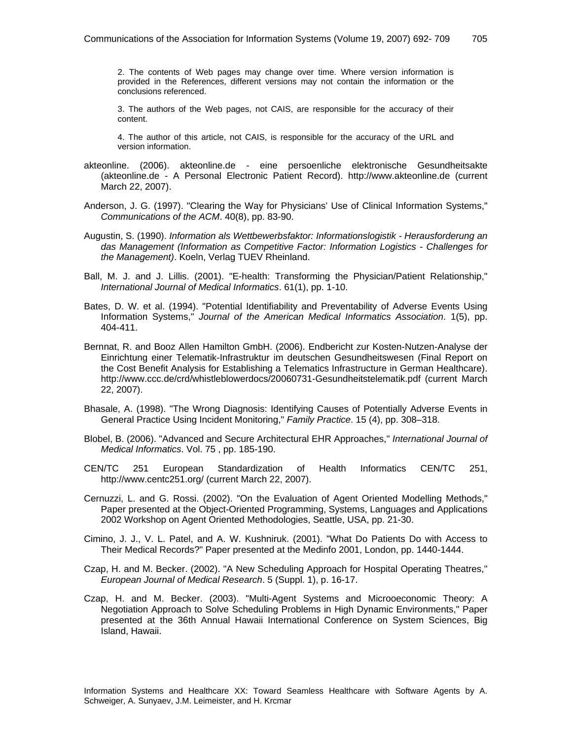2. The contents of Web pages may change over time. Where version information is provided in the References, different versions may not contain the information or the conclusions referenced.

3. The authors of the Web pages, not CAIS, are responsible for the accuracy of their content.

4. The author of this article, not CAIS, is responsible for the accuracy of the URL and version information.

- akteonline. (2006). akteonline.de eine persoenliche elektronische Gesundheitsakte (akteonline.de - A Personal Electronic Patient Record). http://www.akteonline.de (current March 22, 2007).
- Anderson, J. G. (1997). "Clearing the Way for Physicians' Use of Clinical Information Systems," *Communications of the ACM*. 40(8), pp. 83-90.
- Augustin, S. (1990). *Information als Wettbewerbsfaktor: Informationslogistik Herausforderung an das Management (Information as Competitive Factor: Information Logistics - Challenges for the Management)*. Koeln, Verlag TUEV Rheinland.
- Ball, M. J. and J. Lillis. (2001). "E-health: Transforming the Physician/Patient Relationship," *International Journal of Medical Informatics*. 61(1), pp. 1-10.
- Bates, D. W. et al. (1994). "Potential Identifiability and Preventability of Adverse Events Using Information Systems," *Journal of the American Medical Informatics Association*. 1(5), pp. 404-411.
- Bernnat, R. and Booz Allen Hamilton GmbH. (2006). Endbericht zur Kosten-Nutzen-Analyse der Einrichtung einer Telematik-Infrastruktur im deutschen Gesundheitswesen (Final Report on the Cost Benefit Analysis for Establishing a Telematics Infrastructure in German Healthcare). http://www.ccc.de/crd/whistleblowerdocs/20060731-Gesundheitstelematik.pdf (current March 22, 2007).
- Bhasale, A. (1998). "The Wrong Diagnosis: Identifying Causes of Potentially Adverse Events in General Practice Using Incident Monitoring," *Family Practice*. 15 (4), pp. 308–318.
- Blobel, B. (2006). "Advanced and Secure Architectural EHR Approaches," *International Journal of Medical Informatics*. Vol. 75 , pp. 185-190.
- CEN/TC 251 European Standardization of Health Informatics CEN/TC 251, http://www.centc251.org/ (current March 22, 2007).
- Cernuzzi, L. and G. Rossi. (2002). "On the Evaluation of Agent Oriented Modelling Methods," Paper presented at the Object-Oriented Programming, Systems, Languages and Applications 2002 Workshop on Agent Oriented Methodologies, Seattle, USA, pp. 21-30.
- Cimino, J. J., V. L. Patel, and A. W. Kushniruk. (2001). "What Do Patients Do with Access to Their Medical Records?" Paper presented at the Medinfo 2001, London, pp. 1440-1444.
- Czap, H. and M. Becker. (2002). "A New Scheduling Approach for Hospital Operating Theatres," *European Journal of Medical Research*. 5 (Suppl. 1), p. 16-17.
- Czap, H. and M. Becker. (2003). "Multi-Agent Systems and Microoeconomic Theory: A Negotiation Approach to Solve Scheduling Problems in High Dynamic Environments," Paper presented at the 36th Annual Hawaii International Conference on System Sciences, Big Island, Hawaii.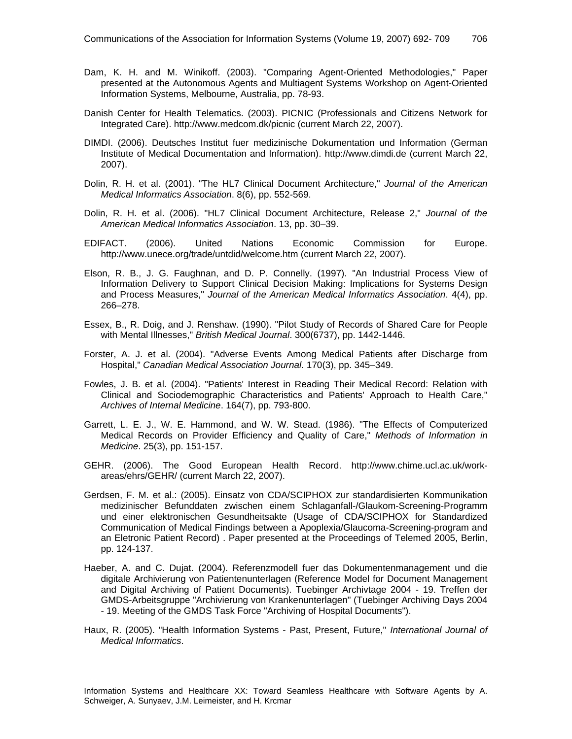- Dam, K. H. and M. Winikoff. (2003). "Comparing Agent-Oriented Methodologies," Paper presented at the Autonomous Agents and Multiagent Systems Workshop on Agent-Oriented Information Systems, Melbourne, Australia, pp. 78-93.
- Danish Center for Health Telematics. (2003). PICNIC (Professionals and Citizens Network for Integrated Care). http://www.medcom.dk/picnic (current March 22, 2007).
- DIMDI. (2006). Deutsches Institut fuer medizinische Dokumentation und Information (German Institute of Medical Documentation and Information). http://www.dimdi.de (current March 22, 2007).
- Dolin, R. H. et al. (2001). "The HL7 Clinical Document Architecture," *Journal of the American Medical Informatics Association*. 8(6), pp. 552-569.
- Dolin, R. H. et al. (2006). "HL7 Clinical Document Architecture, Release 2," *Journal of the American Medical Informatics Association*. 13, pp. 30–39.
- EDIFACT. (2006). United Nations Economic Commission for Europe. http://www.unece.org/trade/untdid/welcome.htm (current March 22, 2007).
- Elson, R. B., J. G. Faughnan, and D. P. Connelly. (1997). "An Industrial Process View of Information Delivery to Support Clinical Decision Making: Implications for Systems Design and Process Measures," *Journal of the American Medical Informatics Association*. 4(4), pp. 266–278.
- Essex, B., R. Doig, and J. Renshaw. (1990). "Pilot Study of Records of Shared Care for People with Mental Illnesses," *British Medical Journal*. 300(6737), pp. 1442-1446.
- Forster, A. J. et al. (2004). "Adverse Events Among Medical Patients after Discharge from Hospital," *Canadian Medical Association Journal*. 170(3), pp. 345–349.
- Fowles, J. B. et al. (2004). "Patients' Interest in Reading Their Medical Record: Relation with Clinical and Sociodemographic Characteristics and Patients' Approach to Health Care," *Archives of Internal Medicine*. 164(7), pp. 793-800.
- Garrett, L. E. J., W. E. Hammond, and W. W. Stead. (1986). "The Effects of Computerized Medical Records on Provider Efficiency and Quality of Care," *Methods of Information in Medicine*. 25(3), pp. 151-157.
- GEHR. (2006). The Good European Health Record. http://www.chime.ucl.ac.uk/workareas/ehrs/GEHR/ (current March 22, 2007).
- Gerdsen, F. M. et al.: (2005). Einsatz von CDA/SCIPHOX zur standardisierten Kommunikation medizinischer Befunddaten zwischen einem Schlaganfall-/Glaukom-Screening-Programm und einer elektronischen Gesundheitsakte (Usage of CDA/SCIPHOX for Standardized Communication of Medical Findings between a Apoplexia/Glaucoma-Screening-program and an Eletronic Patient Record) . Paper presented at the Proceedings of Telemed 2005, Berlin, pp. 124-137.
- Haeber, A. and C. Dujat. (2004). Referenzmodell fuer das Dokumentenmanagement und die digitale Archivierung von Patientenunterlagen (Reference Model for Document Management and Digital Archiving of Patient Documents). Tuebinger Archivtage 2004 - 19. Treffen der GMDS-Arbeitsgruppe "Archivierung von Krankenunterlagen" (Tuebinger Archiving Days 2004 - 19. Meeting of the GMDS Task Force "Archiving of Hospital Documents").
- Haux, R. (2005). "Health Information Systems Past, Present, Future," *International Journal of Medical Informatics*.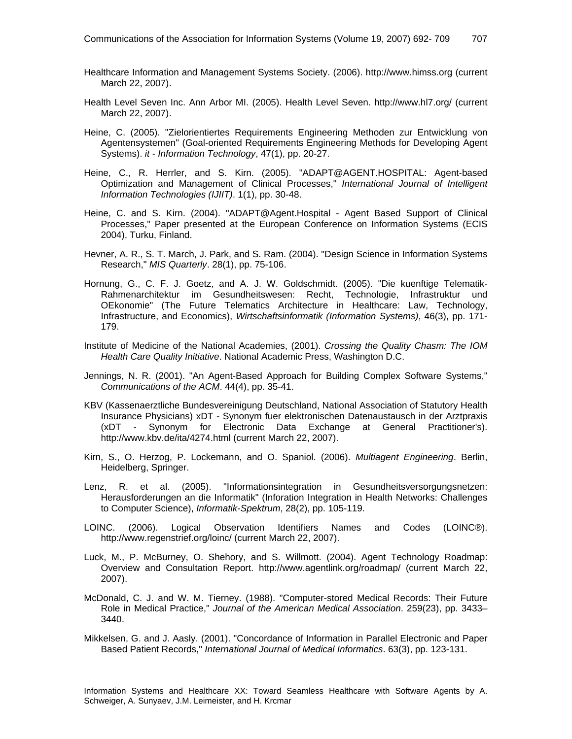- Healthcare Information and Management Systems Society. (2006). http://www.himss.org (current March 22, 2007).
- Health Level Seven Inc. Ann Arbor MI. (2005). Health Level Seven. http://www.hl7.org/ (current March 22, 2007).
- Heine, C. (2005). "Zielorientiertes Requirements Engineering Methoden zur Entwicklung von Agentensystemen" (Goal-oriented Requirements Engineering Methods for Developing Agent Systems). *it - Information Technology*, 47(1), pp. 20-27.
- Heine, C., R. Herrler, and S. Kirn. (2005). "ADAPT@AGENT.HOSPITAL: Agent-based Optimization and Management of Clinical Processes," *International Journal of Intelligent Information Technologies (IJIIT)*. 1(1), pp. 30-48.
- Heine, C. and S. Kirn. (2004). "ADAPT@Agent.Hospital Agent Based Support of Clinical Processes," Paper presented at the European Conference on Information Systems (ECIS 2004), Turku, Finland.
- Hevner, A. R., S. T. March, J. Park, and S. Ram. (2004). "Design Science in Information Systems Research," *MIS Quarterly*. 28(1), pp. 75-106.
- Hornung, G., C. F. J. Goetz, and A. J. W. Goldschmidt. (2005). "Die kuenftige Telematik-Rahmenarchitektur im Gesundheitswesen: Recht, Technologie, Infrastruktur und OEkonomie" (The Future Telematics Architecture in Healthcare: Law, Technology, Infrastructure, and Economics), *Wirtschaftsinformatik (Information Systems)*, 46(3), pp. 171- 179.
- Institute of Medicine of the National Academies, (2001). *Crossing the Quality Chasm: The IOM Health Care Quality Initiative*. National Academic Press, Washington D.C.
- Jennings, N. R. (2001). "An Agent-Based Approach for Building Complex Software Systems," *Communications of the ACM*. 44(4), pp. 35-41.
- KBV (Kassenaerztliche Bundesvereinigung Deutschland, National Association of Statutory Health Insurance Physicians) xDT - Synonym fuer elektronischen Datenaustausch in der Arztpraxis (xDT - Synonym for Electronic Data Exchange at General Practitioner's). http://www.kbv.de/ita/4274.html (current March 22, 2007).
- Kirn, S., O. Herzog, P. Lockemann, and O. Spaniol. (2006). *Multiagent Engineering*. Berlin, Heidelberg, Springer.
- Lenz, R. et al. (2005). "Informationsintegration in Gesundheitsversorgungsnetzen: Herausforderungen an die Informatik" (Inforation Integration in Health Networks: Challenges to Computer Science), *Informatik-Spektrum*, 28(2), pp. 105-119.
- LOINC. (2006). Logical Observation Identifiers Names and Codes (LOINC®). http://www.regenstrief.org/loinc/ (current March 22, 2007).
- Luck, M., P. McBurney, O. Shehory, and S. Willmott. (2004). Agent Technology Roadmap: Overview and Consultation Report. http://www.agentlink.org/roadmap/ (current March 22, 2007).
- McDonald, C. J. and W. M. Tierney. (1988). "Computer-stored Medical Records: Their Future Role in Medical Practice," *Journal of the American Medical Association*. 259(23), pp. 3433– 3440.
- Mikkelsen, G. and J. Aasly. (2001). "Concordance of Information in Parallel Electronic and Paper Based Patient Records," *International Journal of Medical Informatics*. 63(3), pp. 123-131.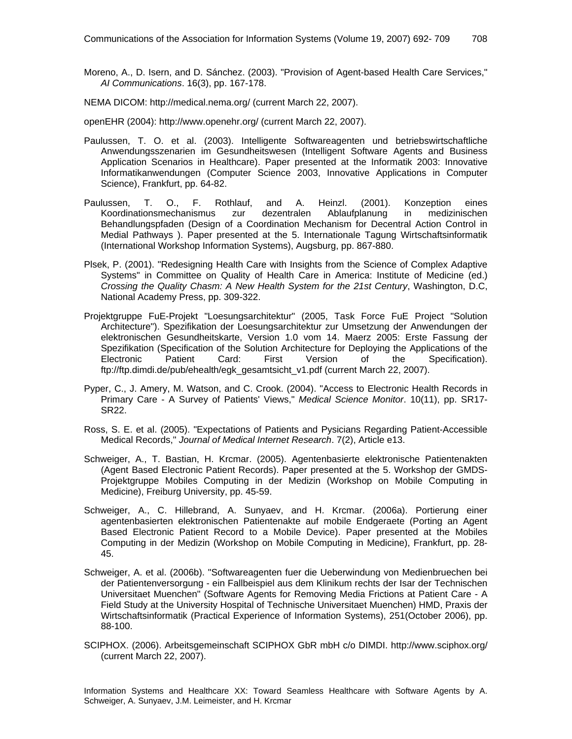Moreno, A., D. Isern, and D. Sánchez. (2003). "Provision of Agent-based Health Care Services," *AI Communications*. 16(3), pp. 167-178.

NEMA DICOM: http://medical.nema.org/ (current March 22, 2007).

openEHR (2004): http://www.openehr.org/ (current March 22, 2007).

- Paulussen, T. O. et al. (2003). Intelligente Softwareagenten und betriebswirtschaftliche Anwendungsszenarien im Gesundheitswesen (Intelligent Software Agents and Business Application Scenarios in Healthcare). Paper presented at the Informatik 2003: Innovative Informatikanwendungen (Computer Science 2003, Innovative Applications in Computer Science), Frankfurt, pp. 64-82.
- Paulussen, T. O., F. Rothlauf, and A. Heinzl. (2001). Konzeption eines Koordinationsmechanismus zur dezentralen Ablaufplanung in medizinischen Behandlungspfaden (Design of a Coordination Mechanism for Decentral Action Control in Medial Pathways ). Paper presented at the 5. Internationale Tagung Wirtschaftsinformatik (International Workshop Information Systems), Augsburg, pp. 867-880.
- Plsek, P. (2001). "Redesigning Health Care with Insights from the Science of Complex Adaptive Systems" in Committee on Quality of Health Care in America: Institute of Medicine (ed.) *Crossing the Quality Chasm: A New Health System for the 21st Century*, Washington, D.C, National Academy Press, pp. 309-322.
- Projektgruppe FuE-Projekt "Loesungsarchitektur" (2005, Task Force FuE Project "Solution Architecture"). Spezifikation der Loesungsarchitektur zur Umsetzung der Anwendungen der elektronischen Gesundheitskarte, Version 1.0 vom 14. Maerz 2005: Erste Fassung der Spezifikation (Specification of the Solution Architecture for Deploying the Applications of the Electronic Patient Card: First Version of the Specification). ftp://ftp.dimdi.de/pub/ehealth/egk\_gesamtsicht\_v1.pdf (current March 22, 2007).
- Pyper, C., J. Amery, M. Watson, and C. Crook. (2004). "Access to Electronic Health Records in Primary Care - A Survey of Patients' Views," *Medical Science Monitor*. 10(11), pp. SR17- SR22.
- Ross, S. E. et al. (2005). "Expectations of Patients and Pysicians Regarding Patient-Accessible Medical Records," *Journal of Medical Internet Research*. 7(2), Article e13.
- Schweiger, A., T. Bastian, H. Krcmar. (2005). Agentenbasierte elektronische Patientenakten (Agent Based Electronic Patient Records). Paper presented at the 5. Workshop der GMDS-Projektgruppe Mobiles Computing in der Medizin (Workshop on Mobile Computing in Medicine), Freiburg University, pp. 45-59.
- Schweiger, A., C. Hillebrand, A. Sunyaev, and H. Krcmar. (2006a). Portierung einer agentenbasierten elektronischen Patientenakte auf mobile Endgeraete (Porting an Agent Based Electronic Patient Record to a Mobile Device). Paper presented at the Mobiles Computing in der Medizin (Workshop on Mobile Computing in Medicine), Frankfurt, pp. 28- 45.
- Schweiger, A. et al. (2006b). "Softwareagenten fuer die Ueberwindung von Medienbruechen bei der Patientenversorgung - ein Fallbeispiel aus dem Klinikum rechts der Isar der Technischen Universitaet Muenchen" (Software Agents for Removing Media Frictions at Patient Care - A Field Study at the University Hospital of Technische Universitaet Muenchen) HMD, Praxis der Wirtschaftsinformatik (Practical Experience of Information Systems), 251(October 2006), pp. 88-100.
- SCIPHOX. (2006). Arbeitsgemeinschaft SCIPHOX GbR mbH c/o DIMDI. http://www.sciphox.org/ (current March 22, 2007).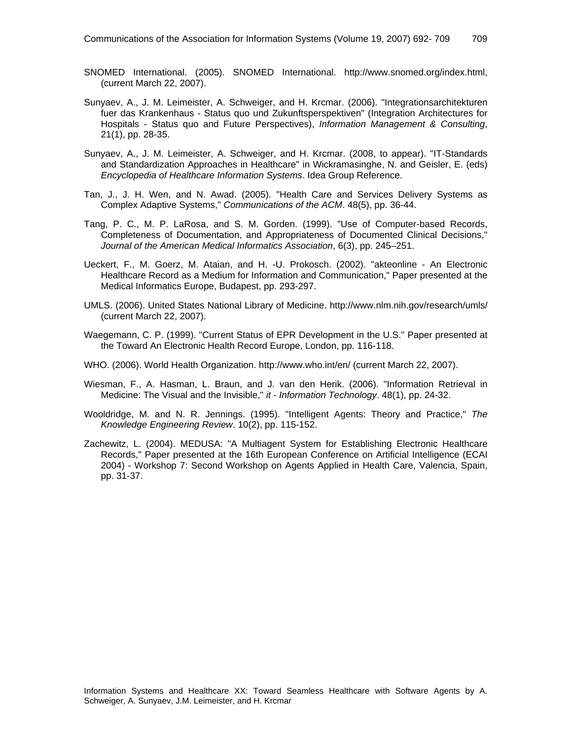- SNOMED International. (2005). SNOMED International. http://www.snomed.org/index.html, (current March 22, 2007).
- Sunyaev, A., J. M. Leimeister, A. Schweiger, and H. Krcmar. (2006). "Integrationsarchitekturen fuer das Krankenhaus - Status quo und Zukunftsperspektiven" (Integration Architectures for Hospitals - Status quo and Future Perspectives), *Information Management & Consulting*, 21(1), pp. 28-35.
- Sunyaev, A., J. M. Leimeister, A. Schweiger, and H. Krcmar. (2008, to appear). "IT-Standards and Standardization Approaches in Healthcare" in Wickramasinghe, N. and Geisler, E. (eds) *Encyclopedia of Healthcare Information Systems*. Idea Group Reference.
- Tan, J., J. H. Wen, and N. Awad. (2005). "Health Care and Services Delivery Systems as Complex Adaptive Systems," *Communications of the ACM*. 48(5), pp. 36-44.
- Tang, P. C., M. P. LaRosa, and S. M. Gorden. (1999). "Use of Computer-based Records, Completeness of Documentation, and Appropriateness of Documented Clinical Decisions," *Journal of the American Medical Informatics Association*, 6(3), pp. 245–251.
- Ueckert, F., M. Goerz, M. Ataian, and H. -U. Prokosch. (2002). "akteonline An Electronic Healthcare Record as a Medium for Information and Communication," Paper presented at the Medical Informatics Europe, Budapest, pp. 293-297.
- UMLS. (2006). United States National Library of Medicine. http://www.nlm.nih.gov/research/umls/ (current March 22, 2007).
- Waegemann, C. P. (1999). "Current Status of EPR Development in the U.S." Paper presented at the Toward An Electronic Health Record Europe, London, pp. 116-118.
- WHO. (2006). World Health Organization. http://www.who.int/en/ (current March 22, 2007).
- Wiesman, F., A. Hasman, L. Braun, and J. van den Herik. (2006). "Information Retrieval in Medicine: The Visual and the Invisible," *it - Information Technology*. 48(1), pp. 24-32.
- Wooldridge, M. and N. R. Jennings. (1995). "Intelligent Agents: Theory and Practice," *The Knowledge Engineering Review*. 10(2), pp. 115-152.
- Zachewitz, L. (2004). MEDUSA: "A Multiagent System for Establishing Electronic Healthcare Records," Paper presented at the 16th European Conference on Artificial Intelligence (ECAI 2004) - Workshop 7: Second Workshop on Agents Applied in Health Care, Valencia, Spain, pp. 31-37.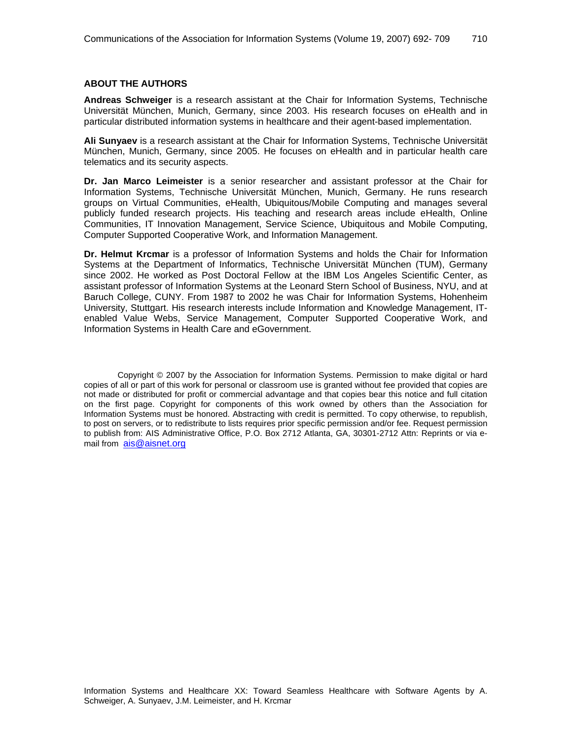#### **ABOUT THE AUTHORS**

**Andreas Schweiger** is a research assistant at the Chair for Information Systems, Technische Universität München, Munich, Germany, since 2003. His research focuses on eHealth and in particular distributed information systems in healthcare and their agent-based implementation.

**Ali Sunyaev** is a research assistant at the Chair for Information Systems, Technische Universität München, Munich, Germany, since 2005. He focuses on eHealth and in particular health care telematics and its security aspects.

**Dr. Jan Marco Leimeister** is a senior researcher and assistant professor at the Chair for Information Systems, Technische Universität München, Munich, Germany. He runs research groups on Virtual Communities, eHealth, Ubiquitous/Mobile Computing and manages several publicly funded research projects. His teaching and research areas include eHealth, Online Communities, IT Innovation Management, Service Science, Ubiquitous and Mobile Computing, Computer Supported Cooperative Work, and Information Management.

**Dr. Helmut Krcmar** is a professor of Information Systems and holds the Chair for Information Systems at the Department of Informatics, Technische Universität München (TUM), Germany since 2002. He worked as Post Doctoral Fellow at the IBM Los Angeles Scientific Center, as assistant professor of Information Systems at the Leonard Stern School of Business, NYU, and at Baruch College, CUNY. From 1987 to 2002 he was Chair for Information Systems, Hohenheim University, Stuttgart. His research interests include Information and Knowledge Management, ITenabled Value Webs, Service Management, Computer Supported Cooperative Work, and Information Systems in Health Care and eGovernment.

Copyright © 2007 by the Association for Information Systems. Permission to make digital or hard copies of all or part of this work for personal or classroom use is granted without fee provided that copies are not made or distributed for profit or commercial advantage and that copies bear this notice and full citation on the first page. Copyright for components of this work owned by others than the Association for Information Systems must be honored. Abstracting with credit is permitted. To copy otherwise, to republish, to post on servers, or to redistribute to lists requires prior specific permission and/or fee. Request permission to publish from: AIS Administrative Office, P.O. Box 2712 Atlanta, GA, 30301-2712 Attn: Reprints or via email from ais@aisnet.org